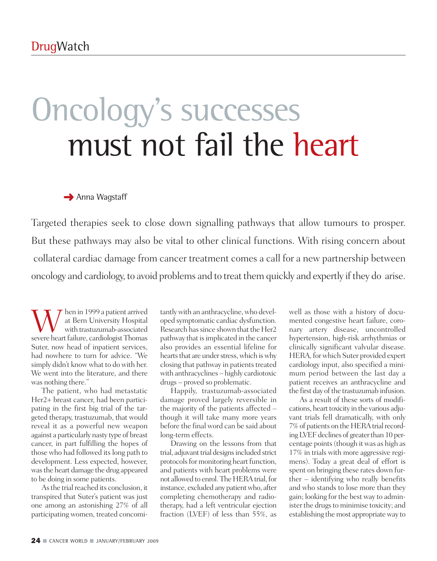# Oncology 's successes must not fail the heart

**→** Anna Wagstaff

Targeted therapies seek to close down signalling pathways that allow tumours to prosper. But these pathways may also be vital to other clinical functions. With rising concern about collateral cardiac damage from cancer treatment comes a call for a new partnership between oncology and cardiology, to avoid problems and to treat them quickly and expertly if they do arise.

 $\begin{array}{c} \displaystyle\prod_{\rm{with~as t}~\rm{Bern~University~Hospital}\\ {\rm{with~transtuzumab-associated}} \end{array}$ at Bern University Hospital with trastuzumab-associated severe heart failure, cardiologist Thomas Suter, now head of inpatient services, had nowhere to turn for advice. "We simply didn't know what to do with her. We went into the literature, and there was nothing there."

The patient, who had metastatic Her2+ breast cancer, had been participating in the first big trial of the targeted therapy, trastuzumab, that would reveal it as a powerful new weapon against a particularly nasty type of breast cancer, in part fulfilling the hopes of those who had followed its long path to development. Less expected, however, wasthe heart damage the drug appeared to be doing in some patients.

As the trial reached its conclusion, it transpired that Suter's patient was just one among an astonishing 27% of all participating women, treated concomi-

tantlywith an anthracycline,who developed symptomatic cardiac dysfunction. Research has since shown that the Her2 pathway that isimplicated in the cancer also provides an essential lifeline for hearts that are under stress, which is why closing that pathway in patients treated with anthracyclines – highly cardiotoxic drugs – proved so problematic.

Happily, trastuzumab-associated damage proved largely reversible in the majority of the patients affected – though it will take many more years before the final word can be said about long-term effects.

Drawing on the lessons from that trial, adjuvant trial designs included strict protocols for monitoring heart function, and patients with heart problems were not allowed to enrol. The HERA trial, for instance, excluded any patient who, after completing chemotherapy and radiotherapy, had a left ventricular ejection fraction (LVEF) of less than 55%, as

well as those with a history of documented congestive heart failure, coronary artery disease, uncontrolled hypertension, high-risk arrhythmias or clinically significant valvular disease. HERA, forwhich Suter provided expert cardiology input, also specified a minimum period between the last day a patient receives an anthracycline and the first day of the trastuzumab infusion.

As a result of these sorts of modifications, heart toxicity in the various adjuvant trials fell dramatically, with only 7% of patients on the HERA trial recording LVEF declines of greater than 10 percentage points(though itwas as high as 17% in trials with more aggressive regimens). Today a great deal of effort is spent on bringing these rates down further – identifying who really benefits and who stands to lose more than they gain; looking for the best way to administer the drugs to minimise toxicity; and establishing themost appropriateway to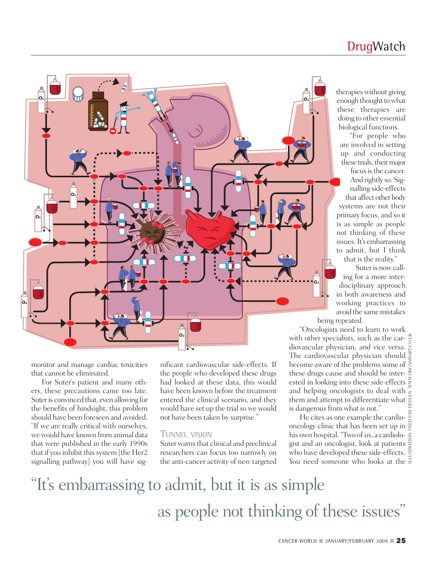### **DrugWatch**



monitor and manage cardiac toxicities that cannot be eliminated.

For Suter's patient and many others, these precautions came too late. Suter is convinced that, even allowing for the benefits of hindsight, this problem should have been foreseen and avoided. "If we are really critical with ourselves, wewould have known from animal data that were published in the early 1990s that if you inhibit this system [the Her2 signalling pathway] you will have significant cardiovascular side-effects. If the people who developed these drugs had looked at these data, this would have been known before the treatment entered the clinical scenario, and they would have set up the trial so we would not have been taken by surprise."

### TUNNEL VISION

Suter warns that clinical and preclinical researchers can focus too narrowly on the anti-cancer activity of new targeted therapies without giving enough thought to what these therapies are doing to other essential biological functions.

"For people who are involved in setting up and conducting these trials, their major

focus is the cancer. And rightly so. Signalling side-effects that affect other body systems are not their primary focus, and so it is as simple as people not thinking of these issues.It's embarrassing to admit, but I think that is the reality."

Suter is now calling for a more interdisciplinary approach in both awareness and working practices to avoid the same mistakes being repeated.

"Oncologists need to learn to work with other specialists, such as the cardiovascular physician, and vice versa. The cardiovascular physician should become aware of the problems some of these drugs cause and should be interested in looking into these side-effects and helping oncologists to deal with  $\tilde{z}$ them and attempt to differentiate what is dangerous from what is not."

He cites as one example the cardiooncology clinic that has been set up in his own hospital."Two of us, a cardiologist and an oncologist, look at patients who have developed these side-effects. You need someone who looks at the  $\exists$ ILLUSTRATION: FRED VAN DEELEN, WWW.ORGANISART.CO.UK

## "It' s embarrassing to admit, but it is as simple as people not thinking of these issues "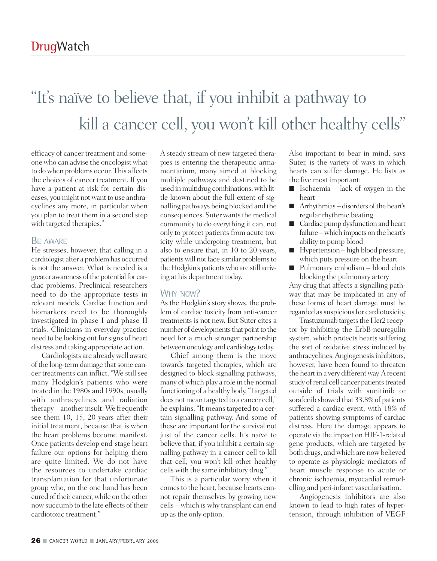# "It' s naïve to believe that, if you inhibit a pathway to kill a cancer cell, you won 't kill other healthy cells "

efficacy of cancer treatment and someonewho can advise the oncologistwhat to dowhen problems occur. This affects the choices of cancer treatment. If you have a patient at risk for certain diseases, you might not want to use anthracyclines any more, in particular when you plan to treat them in a second step with targeted therapies."

### BE AWARE

He stresses, however, that calling in a cardiologist after a problemhas occurred is not the answer. What is needed is a greater awareness of the potential for cardiac problems. Preclinical researchers need to do the appropriate tests in relevant models. Cardiac function and biomarkers need to be thoroughly investigated in phase I and phase II trials. Clinicians in everyday practice need to be looking out forsigns of heart distress and taking appropriate action.

Cardiologists are alreadywell aware of the long-term damage that some cancer treatments can inflict. "We still see many Hodgkin's patients who were treated in the 1980s and 1990s, usually with anthracyclines and radiation therapy – another insult. We frequently see them 10, 15, 20 years after their initial treatment, because that is when the heart problems become manifest. Once patients develop end-stage heart failure our options for helping them are quite limited. We do not have the resources to undertake cardiac transplantation for that unfortunate group who, on the one hand has been cured of their cancer, while on the other nowsuccumb to the late effects of their cardiotoxic treatment."

A steady stream of new targeted therapies is entering the therapeutic armamentarium, many aimed at blocking multiple pathways and destined to be used in multidrug combinations, with little known about the full extent of signalling pathways being blocked and the consequences. Suter wants the medical community to do everything it can, not only to protect patients from acute toxicity while undergoing treatment, but also to ensure that, in 10 to 20 years, patients will not face similar problems to the Hodgkin's patients who are still arriving at his department today.

### WHY NOW?

As the Hodgkin's story shows, the problem of cardiac toxicity from anti-cancer treatments is not new. But Suter cites a number of developments that point to the need for a much stronger partnership between oncology and cardiology today.

Chief among them is the move towards targeted therapies, which are designed to block signalling pathways, many of which play a role in the normal functioning of a healthy body."Targeted does not mean targeted to a cancer cell," he explains. "It means targeted to a certain signalling pathway. And some of these are important for the survival not just of the cancer cells. It's naïve to believe that, if you inhibit a certain signalling pathway in a cancer cell to kill that cell, you won't kill other healthy cells with the same inhibitory drug."

This is a particular worry when it comesto the heart, because hearts cannot repair themselves by growing new cells – which is why transplant can end up asthe only option.

Also important to bear in mind, says Suter, is the variety of ways in which hearts can suffer damage. He lists as the five most important:

- Ischaemia lack of oxygen in the heart
- Arrhythmias disorders of the heart's regular rhythmic beating
- Cardiac pump dysfunction and heart failure –which impacts on the heart's ability to pump blood
- Hypertension high blood pressure, which puts pressure on the heart
- Pulmonary embolism blood clots blocking the pulmonary artery

Any drug that affects a signalling pathway that may be implicated in any of these forms of heart damage must be regarded as suspicious for cardiotoxicity.

Trastuzumab targets the Her2 receptor by inhibiting the ErbB-neuregulin system, which protects hearts suffering the sort of oxidative stress induced by anthracyclines.Angiogenesisinhibitors, however, have been found to threaten the heart in a very different way. A recent study of renal cell cancer patients treated outside of trials with sunitinib or sorafenib showed that 33.8% of patients suffered a cardiac event, with 18% of patients showing symptoms of cardiac distress. Here the damage appears to operate via the impact on HIF-1-related gene products, which are targeted by both drugs, and which are now believed to operate as physiologic mediators of heart muscle response to acute or chronic ischaemia, myocardial remodelling and peri-infarct vascularisation.

Angiogenesis inhibitors are also known to lead to high rates of hypertension, through inhibition of VEGF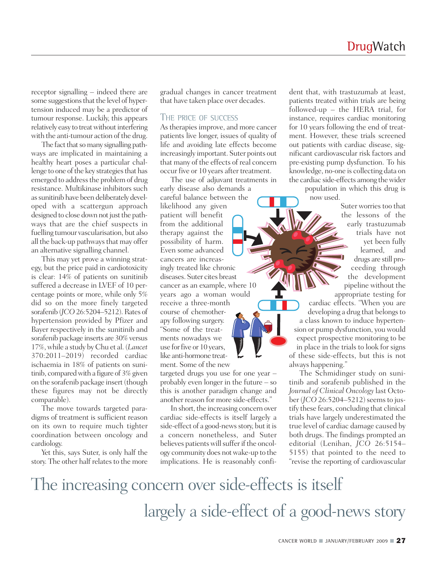receptor signalling – indeed there are some suggestions that the level of hypertension induced may be a predictor of tumour response. Luckily, this appears relatively easy to treat without interfering with the anti-tumour action of the drug.

The fact that so many signalling pathways are implicated in maintaining a healthy heart poses a particular challenge to one of the key strategies that has emerged to address the problem of drug resistance. Multikinase inhibitors such as sunitinib have been deliberately developed with a scattergun approach designed to close down not just the pathways that are the chief suspects in fuelling tumour vascularisation, but also all the back-up pathways that may offer an alternative signalling channel.

This may yet prove a winning strategy, but the price paid in cardiotoxicity is clear: 14% of patients on sunitinib suffered a decrease in LVEF of 10 percentage points or more, while only 5% did so on the more finely targeted sorafenib (*JCO* 26:5204–5212). Rates of hypertension provided by Pfizer and Bayer respectively in the sunitinib and sorafenib package inserts are 30% versus 17%,while a study by Chu et al.(*Lancet* 370:2011–2019) recorded cardiac ischaemia in 18% of patients on sunitinib, comparedwith a figure of 3% given on the sorafenib package insert (though these figures may not be directly comparable).

The move towards targeted paradigms of treatment is sufficient reason on its own to require much tighter coordination between oncology and cardiology.

Yet this, says Suter, is only half the story. The other half relates to the more gradual changes in cancer treatment that have taken place over decades.

#### THE PRICE OF SUCCESS

As therapies improve, and more cancer patients live longer, issues of quality of life and avoiding late effects become increasingly important. Suter points out that many of the effects of real concern occur five or 10 years after treatment.

The use of adjuvant treatments in early disease also demands a careful balance between the likelihood any given patient will benefit from the additional therapy against the possibility of harm. Even some advanced cancers are increasingly treated like chronic diseases. Suter cites breast cancer as an example, where 10 years ago a woman would receive a three-month course of chemotherapy following surgery. "Some of the treatments nowadays we use for five or 10 years, like anti-hormone treatment. Some of the new

targeted drugs you use for one year – probably even longer in the future – so this is another paradigm change and another reason for more side-effects."

In short, the increasing concern over cardiac side-effects is itself largely a side-effect of a good-news story, but it is a concern nonetheless, and Suter believes patients will suffer if the oncology community does notwake-up to the implications. He is reasonably confident that, with trastuzumab at least, patients treated within trials are being followed-up – the HERA trial, for instance, requires cardiac monitoring for 10 years following the end of treatment. However, these trials screened out patients with cardiac disease, significant cardiovascular risk factors and pre-existing pump dysfunction. To his knowledge, no-one is collecting data on the cardiac side-effects among thewider population in which this drug is now used.

Suter worries too that the lessons of the early trastuzumab trials have not yet been fully learned, and drugs are still proceeding through the development pipeline without the appropriate testing for cardiac effects. "When you are developing a drug that belongs to a class known to induce hypertension or pump dysfunction, you would expect prospective monitoring to be in place in the trials to look for signs of these side-effects, but this is not

always happening." The Schmidinger study on sunitinib and sorafenib published in the *Journal of Clinical Oncology*last October (*JCO* 26:5204–5212) seems to justify these fears, concluding that clinical trials have largely underestimated the true level of cardiac damage caused by both drugs. The findings prompted an editorial (Lenihan, *JCO* 26:5154– 5155) that pointed to the need to "revise the reporting of cardiovascular

### The increasing concern over side-effects is itself largely a side-effect of a good-news story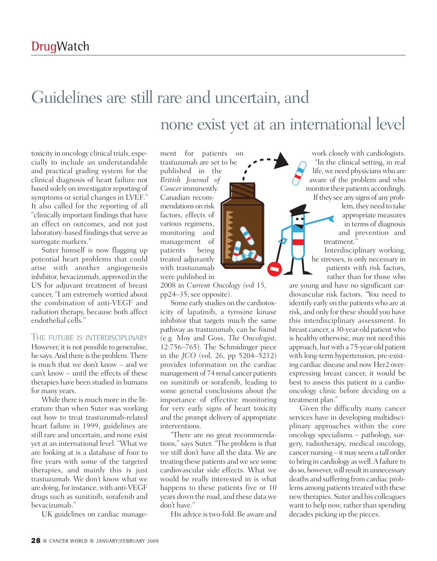## Guidelines are still rare and uncertain, and none exist yet at an international level

toxicity in oncology clinical trials, especially to include an understandable and practical grading system for the clinical diagnosis of heart failure not based solely on investigator reporting of symptoms or serial changes in LVEF." It also called for the reporting of all "clinically important findings that have an effect on outcomes, and not just laboratory-based findings that serve as surrogate markers."

Suter himself is now flagging up potential heart problems that could arise with another angiogenesis inhibitor, bevacizumab, approved in the US for adjuvant treatment of breast cancer, "I am extremely worried about the combination of anti-VEGF and radiation therapy, because both affect endothelial cells."

### THE FUTURE IS INTERDISCIPLINARY

However, it is not possible to generalise, he says. And there is the problem. There is much that we don't know – and we can't know – until the effects of these therapies have been studied in humans for many years.

While there is much more in the literature than when Suter was working out how to treat trastuzumab-related heart failure in 1999, guidelines are still rare and uncertain, and none exist yet at an international level. "What we are looking at is a database of four to five years with some of the targeted therapies, and mainly this is just trastuzumab. We don't know what we are doing, for instance,with anti-VEGF drugs such as sunitinib, sorafenib and bevacizumab."

UK guidelines on cardiac manage-

ment for patients on trastuzumab are set to be published in the *British Journal of Cancer*imminently. Canadian recommendations on risk factors, effects of various regimens, monitoring and management of patients being treated adjuvantly with trastuzumab were published in

2008 in *Current Oncology* (vol 15, pp24–35;see opposite).

Some early studies on the cardiotoxicity of lapatinib, a tyrosine kinase inhibitor that targets much the same pathway as trastuzumab, can be found (e.g. Moy and Goss, *The Oncologist*, 12:756–765). The Schmidinger piece in the *JCO* (vol. 26, pp 5204–5212) provides information on the cardiac management of 74 renal cancer patients on sunitinib or sorafenib, leading to some general conclusions about the importance of effective monitoring for very early signs of heart toxicity and the prompt delivery of appropriate interventions.

"There are no great recommendations," says Suter. "The problem is that we still don't have all the data. We are treating these patients and we see some cardiovascular side effects. What we would be really interested in is what happens to these patients five or 10 years down the road, and these data we don't have."

His advice is two-fold. Be aware and

work closely with cardiologists. "In the clinical setting, in real life, we need physicians who are aware of the problem and who monitor their patients accordingly. If they see any signs of any prob-

lem, they need to take appropriate measures in terms of diagnosis and prevention and treatment."

Interdisciplinary working, he stresses, is only necessary in patients with risk factors, rather than for those who

are young and have no significant cardiovascular risk factors. "You need to identify early on the patients who are at risk, and only for these should you have this interdisciplinary assessment. In breast cancer, a 30-year-old patient who is healthy otherwise, may not need this approach, butwith a 75-year-old patient with long-term hypertension, pre-existing cardiac disease and now Her2 overexpressing breast cancer, it would be best to assess this patient in a cardiooncology clinic before deciding on a treatment plan."

Given the difficulty many cancer services have in developing multidisciplinary approaches within the core oncology specialisms – pathology, surgery, radiotherapy, medical oncology, cancer nursing – it may seem a tall order to bring in cardiology aswell.Afailure to do so, however, will result in unnecessary deaths and suffering from cardiac problems among patients treated with these newtherapies. Suter and his colleagues want to help now, rather than spending decades picking up the pieces.